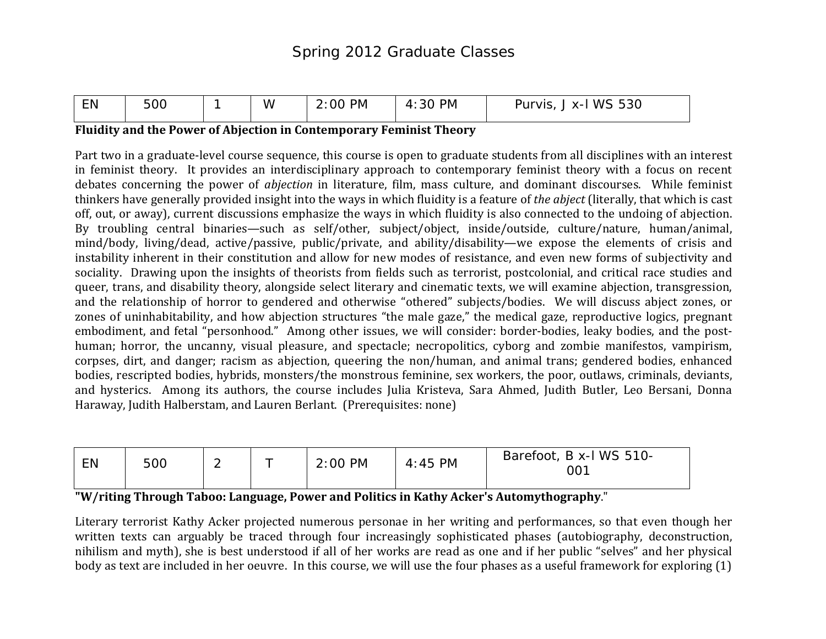| $-$ .<br>EN | 500 | W | <b>PM</b><br>2:00<br>_____ | PM<br>30<br>4<br>____ | <b>WS</b><br>$F \cap \cap$<br><b>Purvis</b><br>$X-1$<br>ხპს<br>$  -$ |
|-------------|-----|---|----------------------------|-----------------------|----------------------------------------------------------------------|
|             |     |   |                            |                       |                                                                      |

#### **Fluidity and the Power of Abjection in Contemporary Feminist Theory**

Part two in a graduate-level course sequence, this course is open to graduate students from all disciplines with an interest in feminist theory. It provides an interdisciplinary approach to contemporary feminist theory with a focus on recent debates concerning the power of *abjection* in literature, film, mass culture, and dominant discourses. While feminist thinkers have generally provided insight into the ways in which fluidity is a feature of *the abject* (literally, that which is cast off, out, or away), current discussions emphasize the ways in which fluidity is also connected to the undoing of abjection. By troubling central binaries—such as self/other, subject/object, inside/outside, culture/nature, human/animal, mind/body, living/dead, active/passive, public/private, and ability/disability—we expose the elements of crisis and instability inherent in their constitution and allow for new modes of resistance, and even new forms of subjectivity and sociality. Drawing upon the insights of theorists from fields such as terrorist, postcolonial, and critical race studies and queer, trans, and disability theory, alongside select literary and cinematic texts, we will examine abjection, transgression, and the relationship of horror to gendered and otherwise "othered" subjects/bodies. We will discuss abject zones, or zones of uninhabitability, and how abjection structures "the male gaze," the medical gaze, reproductive logics, pregnant embodiment, and fetal "personhood." Among other issues, we will consider: border-bodies, leaky bodies, and the posthuman; horror, the uncanny, visual pleasure, and spectacle; necropolitics, cyborg and zombie manifestos, vampirism, corpses, dirt, and danger; racism as abjection, queering the non/human, and animal trans; gendered bodies, enhanced bodies, rescripted bodies, hybrids, monsters/the monstrous feminine, sex workers, the poor, outlaws, criminals, deviants, and hysterics. Among its authors, the course includes Julia Kristeva, Sara Ahmed, Judith Butler, Leo Bersani, Donna Haraway, Judith Halberstam, and Lauren Berlant. (Prerequisites: none)

| EN | 500 | - |  | $2:00$ PM | $4:45$ PM | Barefoot, B x-I WS 510-<br>001 |
|----|-----|---|--|-----------|-----------|--------------------------------|
|----|-----|---|--|-----------|-----------|--------------------------------|

**"W/riting Through Taboo: Language, Power and Politics in Kathy Acker's Automythography**."

Literary terrorist Kathy Acker projected numerous personae in her writing and performances, so that even though her written texts can arguably be traced through four increasingly sophisticated phases (autobiography, deconstruction, nihilism and myth), she is best understood if all of her works are read as one and if her public "selves" and her physical body as text are included in her oeuvre. In this course, we will use the four phases as a useful framework for exploring (1)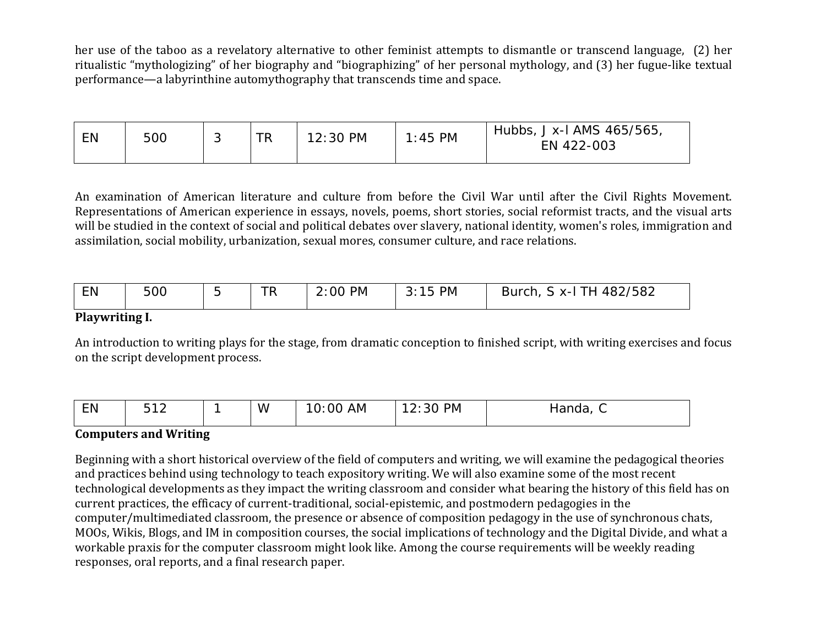her use of the taboo as a revelatory alternative to other feminist attempts to dismantle or transcend language, (2) her ritualistic "mythologizing" of her biography and "biographizing" of her personal mythology, and (3) her fugue-like textual performance—a labyrinthine automythography that transcends time and space.

| <b>EN</b> | 500 |  | <b>TR</b> | 12:30 PM | 45 PM | Hubbs, J x-I AMS 465/565,<br>EN 422-003 |
|-----------|-----|--|-----------|----------|-------|-----------------------------------------|
|-----------|-----|--|-----------|----------|-------|-----------------------------------------|

An examination of American literature and culture from before the Civil War until after the Civil Rights Movement. Representations of American experience in essays, novels, poems, short stories, social reformist tracts, and the visual arts will be studied in the context of social and political debates over slavery, national identity, women's roles, immigration and assimilation, social mobility, urbanization, sexual mores, consumer culture, and race relations.

| EN<br>TD.<br><b>PM</b><br>PM<br>500<br>ററ<br><b>Burch</b><br>$Y-I$<br>ĸ<br>. | 482/582 |
|------------------------------------------------------------------------------|---------|
|------------------------------------------------------------------------------|---------|

### **Playwriting I.**

An introduction to writing plays for the stage, from dramatic conception to finished script, with writing exercises and focus on the script development process.

| EN | $-42$ |  | W | .<br>AM<br>- 10<br>v.vv | <b>PM</b><br>z.ju | <br>nariua.<br>∼ |
|----|-------|--|---|-------------------------|-------------------|------------------|
|----|-------|--|---|-------------------------|-------------------|------------------|

# **Computers and Writing**

Beginning with a short historical overview of the field of computers and writing, we will examine the pedagogical theories and practices behind using technology to teach expository writing. We will also examine some of the most recent technological developments as they impact the writing classroom and consider what bearing the history of this field has on current practices, the efficacy of current-traditional, social-epistemic, and postmodern pedagogies in the computer/multimediated classroom, the presence or absence of composition pedagogy in the use of synchronous chats, MOOs, Wikis, Blogs, and IM in composition courses, the social implications of technology and the Digital Divide, and what a workable praxis for the computer classroom might look like. Among the course requirements will be weekly reading responses, oral reports, and a final research paper.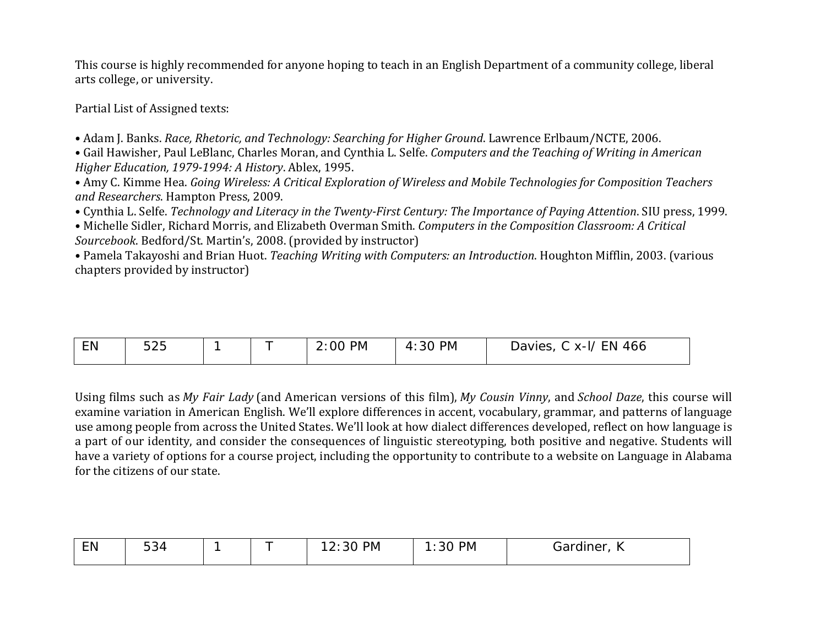This course is highly recommended for anyone hoping to teach in an English Department of a community college, liberal arts college, or university.

Partial List of Assigned texts:

• Adam J. Banks. *Race, Rhetoric, and Technology: Searching for Higher Ground*. Lawrence Erlbaum/NCTE, 2006.

• Gail Hawisher, Paul LeBlanc, Charles Moran, and Cynthia L. Selfe. *Computers and the Teaching of Writing in American Higher Education, 1979-1994: A History*. Ablex, 1995.

• Amy C. Kimme Hea. *Going Wireless: A Critical Exploration of Wireless and Mobile Technologies for Composition Teachers and Researchers*. Hampton Press, 2009.

• Cynthia L. Selfe. *Technology and Literacy in the Twenty-First Century: The Importance of Paying Attention*. SIU press, 1999.

• Michelle Sidler, Richard Morris, and Elizabeth Overman Smith. *Computers in the Composition Classroom: A Critical Sourcebook*. Bedford/St. Martin's, 2008. (provided by instructor)

• Pamela Takayoshi and Brian Huot. *Teaching Writing with Computers: an Introduction*. Houghton Mifflin, 2003. (various chapters provided by instructor)

| EN | $F \cap F$<br>ノト<br>◡∠◡ |  |  | <b>PM</b><br>nc<br>2.00 | <b>PM</b><br>: 30<br>4 | 466<br>EN.<br>Davies<br>$X-I/$<br>◡ |
|----|-------------------------|--|--|-------------------------|------------------------|-------------------------------------|
|----|-------------------------|--|--|-------------------------|------------------------|-------------------------------------|

Using films such as *My Fair Lady* (and American versions of this film), *My Cousin Vinny*, and *School Daze*, this course will examine variation in American English. We'll explore differences in accent, vocabulary, grammar, and patterns of language use among people from across the United States. We'll look at how dialect differences developed, reflect on how language is a part of our identity, and consider the consequences of linguistic stereotyping, both positive and negative. Students will have a variety of options for a course project, including the opportunity to contribute to a website on Language in Alabama for the citizens of our state.

| --<br>EN | $\Gamma$ $\Omega$<br>534<br>∽ |  | <b>PM</b><br>2:30 | PM<br>. .<br>21<br><u>UU</u> | ardiner,<br>اαت<br>. . |
|----------|-------------------------------|--|-------------------|------------------------------|------------------------|
|          |                               |  |                   |                              |                        |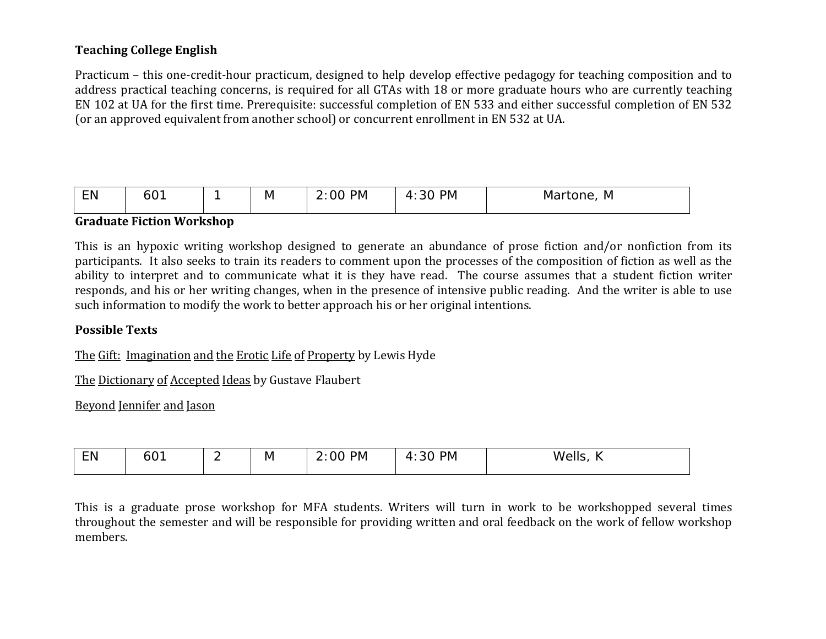# **Teaching College English**

Practicum – this one-credit-hour practicum, designed to help develop effective pedagogy for teaching composition and to address practical teaching concerns, is required for all GTAs with 18 or more graduate hours who are currently teaching EN 102 at UA for the first time. Prerequisite: successful completion of EN 533 and either successful completion of EN 532 (or an approved equivalent from another school) or concurrent enrollment in EN 532 at UA.

| $-$<br>PM<br>PM<br>LN<br>ΙVΙ<br>ΙVΙ<br>ור<br>' \ /<br>. .<br>ᄂᄓ<br>_<br>.<br>___<br>____ |  |
|------------------------------------------------------------------------------------------|--|
|------------------------------------------------------------------------------------------|--|

### **Graduate Fiction Workshop**

This is an hypoxic writing workshop designed to generate an abundance of prose fiction and/or nonfiction from its participants. It also seeks to train its readers to comment upon the processes of the composition of fiction as well as the ability to interpret and to communicate what it is they have read. The course assumes that a student fiction writer responds, and his or her writing changes, when in the presence of intensive public reading. And the writer is able to use such information to modify the work to better approach his or her original intentions.

## **Possible Texts**

The Gift: Imagination and the Erotic Life of Property by Lewis Hyde

The Dictionary of Accepted Ideas by Gustave Flaubert

Beyond Jennifer and Jason

| EN | <b>^</b><br>OU. | - | IV. | <b>PM</b><br>ിറ<br><u>.</u> . | <b>PM</b><br>$\mathbf{u}$<br><u>.</u><br><u>JU</u> | عالم/١٨<br>$\sim$ $\sim$ $\sim$ $\sim$ |
|----|-----------------|---|-----|-------------------------------|----------------------------------------------------|----------------------------------------|
|    |                 |   |     |                               |                                                    |                                        |

This is a graduate prose workshop for MFA students. Writers will turn in work to be workshopped several times throughout the semester and will be responsible for providing written and oral feedback on the work of fellow workshop members.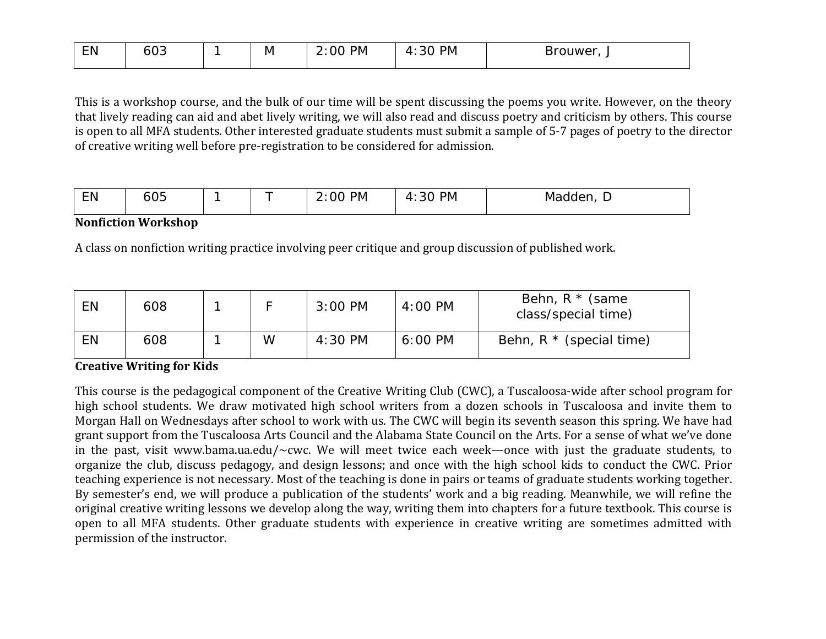| EN | <u>ົດ</u><br>603 | M | <b>PM</b><br>00<br><u>.</u> . | <b>PM</b><br>30<br>$\sqrt{1}$<br>. . | 3rouwer<br>DI<br>$\overline{\phantom{a}}$ |
|----|------------------|---|-------------------------------|--------------------------------------|-------------------------------------------|
|    |                  |   |                               |                                      |                                           |

This is a workshop course, and the bulk of our time will be spent discussing the poems you write. However, on the theory that lively reading can aid and abet lively writing, we will also read and discuss poetry and criticism by others. This course is open to all MFA students. Other interested graduate students must submit a sample of 5-7 pages of poetry to the director of creative writing well before pre-registration to be considered for admission.

| --<br>--- | $\sim$ $-$<br>ै<br>ουο |  |  | <b>PM</b><br>и | <b>PM</b><br>"<br>◢<br>. .<br>- | $\sim$ $\sim$<br>ividuu |
|-----------|------------------------|--|--|----------------|---------------------------------|-------------------------|
|-----------|------------------------|--|--|----------------|---------------------------------|-------------------------|

### **Nonfiction Workshop**

A class on nonfiction writing practice involving peer critique and group discussion of published work.

| EN        | 608 |   | $3:00$ PM | 4:00 PM   | Behn, $R *$ (same<br>class/special time) |
|-----------|-----|---|-----------|-----------|------------------------------------------|
| <b>EN</b> | 608 | W | 4:30 PM   | $6:00$ PM | Behn, $R *$ (special time)               |

## **Creative Writing for Kids**

This course is the pedagogical component of the Creative Writing Club (CWC), a Tuscaloosa-wide after school program for high school students. We draw motivated high school writers from a dozen schools in Tuscaloosa and invite them to Morgan Hall on Wednesdays after school to work with us. The CWC will begin its seventh season this spring. We have had grant support from the Tuscaloosa Arts Council and the Alabama State Council on the Arts. For a sense of what we've done in the past, visit www.bama.ua.edu/~cwc. We will meet twice each week—once with just the graduate students, to organize the club, discuss pedagogy, and design lessons; and once with the high school kids to conduct the CWC. Prior teaching experience is not necessary. Most of the teaching is done in pairs or teams of graduate students working together. By semester's end, we will produce a publication of the students' work and a big reading. Meanwhile, we will refine the original creative writing lessons we develop along the way, writing them into chapters for a future textbook. This course is open to all MFA students. Other graduate students with experience in creative writing are sometimes admitted with permission of the instructor.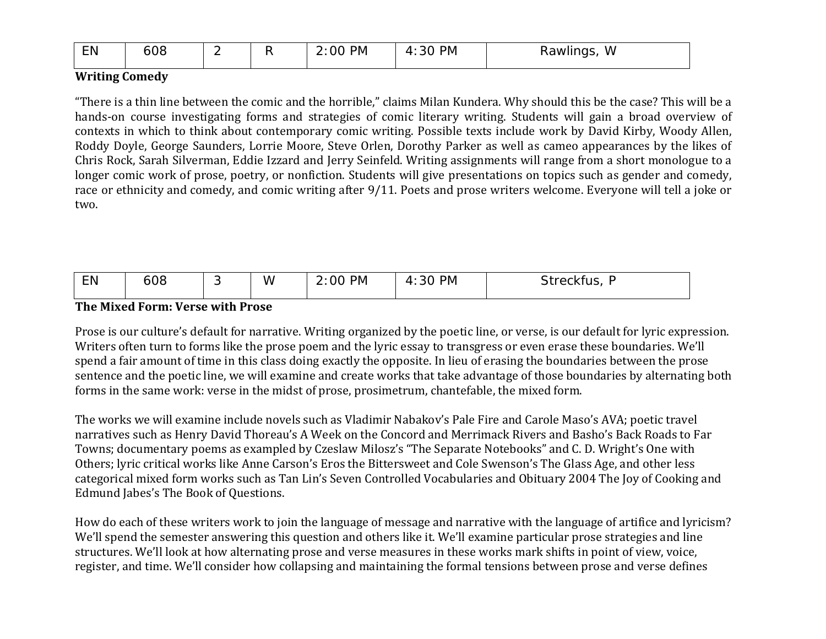| EN | 608 | - |  | <b>PM</b><br>2:00 | <b>PM</b><br>$\Omega$<br>4<br>3U | w<br>Rawlings |
|----|-----|---|--|-------------------|----------------------------------|---------------|
|----|-----|---|--|-------------------|----------------------------------|---------------|

### **Writing Comedy**

"There is a thin line between the comic and the horrible," claims Milan Kundera. Why should this be the case? This will be a hands-on course investigating forms and strategies of comic literary writing. Students will gain a broad overview of contexts in which to think about contemporary comic writing. Possible texts include work by David Kirby, Woody Allen, Roddy Doyle, George Saunders, Lorrie Moore, Steve Orlen, Dorothy Parker as well as cameo appearances by the likes of Chris Rock, Sarah Silverman, Eddie Izzard and Jerry Seinfeld. Writing assignments will range from a short monologue to a longer comic work of prose, poetry, or nonfiction. Students will give presentations on topics such as gender and comedy, race or ethnicity and comedy, and comic writing after 9/11. Poets and prose writers welcome. Everyone will tell a joke or two.

| <b>EN</b><br>W<br><b>PM</b><br><b>PM</b><br>608<br>nr<br>$\sim$ $\sim$<br>kfus<br>$- - - -$<br>4<br>- JU<br>-<br><u>vv</u><br>. . |  |
|-----------------------------------------------------------------------------------------------------------------------------------|--|
|-----------------------------------------------------------------------------------------------------------------------------------|--|

## **The Mixed Form: Verse with Prose**

Prose is our culture's default for narrative. Writing organized by the poetic line, or verse, is our default for lyric expression. Writers often turn to forms like the prose poem and the lyric essay to transgress or even erase these boundaries. We'll spend a fair amount of time in this class doing exactly the opposite. In lieu of erasing the boundaries between the prose sentence and the poetic line, we will examine and create works that take advantage of those boundaries by alternating both forms in the same work: verse in the midst of prose, prosimetrum, chantefable, the mixed form.

The works we will examine include novels such as Vladimir Nabakov's Pale Fire and Carole Maso's AVA; poetic travel narratives such as Henry David Thoreau's A Week on the Concord and Merrimack Rivers and Basho's Back Roads to Far Towns; documentary poems as exampled by Czeslaw Milosz's "The Separate Notebooks" and C. D. Wright's One with Others; lyric critical works like Anne Carson's Eros the Bittersweet and Cole Swenson's The Glass Age, and other less categorical mixed form works such as Tan Lin's Seven Controlled Vocabularies and Obituary 2004 The Joy of Cooking and Edmund Jabes's The Book of Questions.

How do each of these writers work to join the language of message and narrative with the language of artifice and lyricism? We'll spend the semester answering this question and others like it. We'll examine particular prose strategies and line structures. We'll look at how alternating prose and verse measures in these works mark shifts in point of view, voice, register, and time. We'll consider how collapsing and maintaining the formal tensions between prose and verse defines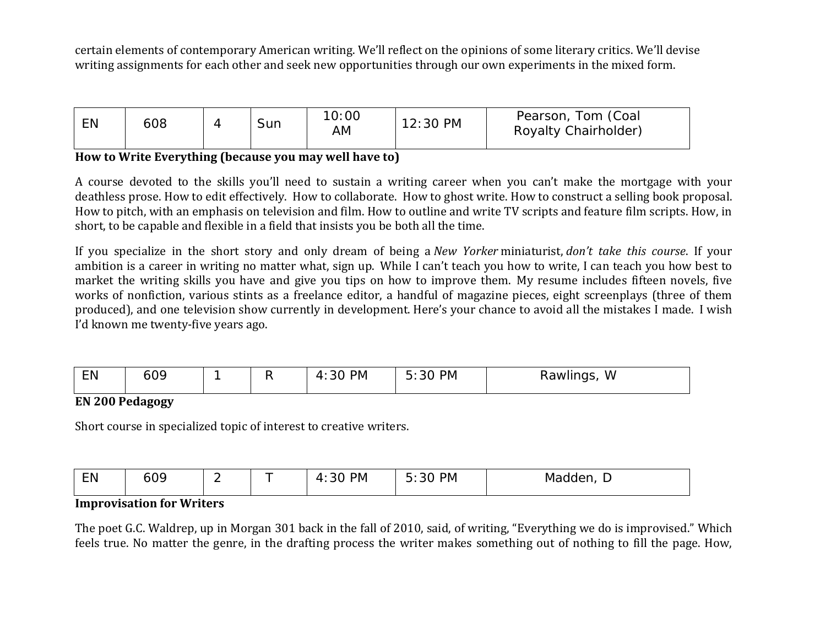certain elements of contemporary American writing. We'll reflect on the opinions of some literary critics. We'll devise writing assignments for each other and seek new opportunities through our own experiments in the mixed form.

| EN | 608 |  | Sun | 10:00<br>AM | $12:30$ PM | Pearson, Tom (Coal<br>Royalty Chairholder) |
|----|-----|--|-----|-------------|------------|--------------------------------------------|
|----|-----|--|-----|-------------|------------|--------------------------------------------|

### **How to Write Everything (because you may well have to)**

A course devoted to the skills you'll need to sustain a writing career when you can't make the mortgage with your deathless prose. How to edit effectively. How to collaborate. How to ghost write. How to construct a selling book proposal. How to pitch, with an emphasis on television and film. How to outline and write TV scripts and feature film scripts. How, in short, to be capable and flexible in a field that insists you be both all the time.

If you specialize in the short story and only dream of being a *New Yorker* miniaturist, *don't take this course*. If your ambition is a career in writing no matter what, sign up. While I can't teach you how to write, I can teach you how best to market the writing skills you have and give you tips on how to improve them. My resume includes fifteen novels, five works of nonfiction, various stints as a freelance editor, a handful of magazine pieces, eight screenplays (three of them produced), and one television show currently in development. Here's your chance to avoid all the mistakes I made. I wish I'd known me twenty-five years ago.

| ---<br><u>.</u> | റവ<br>ΩU.<br>$\sim$ $\sim$ $\sim$ $\sim$ |  |  | <b>PM</b> | <b>PM</b><br>∽<br>.30 | w<br>1 VV 1<br>$\sim$ $\sim$ $\sim$ $\sim$ $\sim$ $\sim$ $\sim$ |
|-----------------|------------------------------------------|--|--|-----------|-----------------------|-----------------------------------------------------------------|
|-----------------|------------------------------------------|--|--|-----------|-----------------------|-----------------------------------------------------------------|

## **EN 200 Pedagogy**

Short course in specialized topic of interest to creative writers.

| $ \sim$<br>N<br>. | ററ<br>ำเ<br>$\sim$ $\sim$ $\sim$ | - |  | PM<br>. . | <b>PM</b><br>``<br>$\cdots$ | .<br>M<br>ı⇔<br>∽ |
|-------------------|----------------------------------|---|--|-----------|-----------------------------|-------------------|
|-------------------|----------------------------------|---|--|-----------|-----------------------------|-------------------|

#### **Improvisation for Writers**

The poet G.C. Waldrep, up in Morgan 301 back in the fall of 2010, said, of writing, "Everything we do is improvised." Which feels true. No matter the genre, in the drafting process the writer makes something out of nothing to fill the page. How,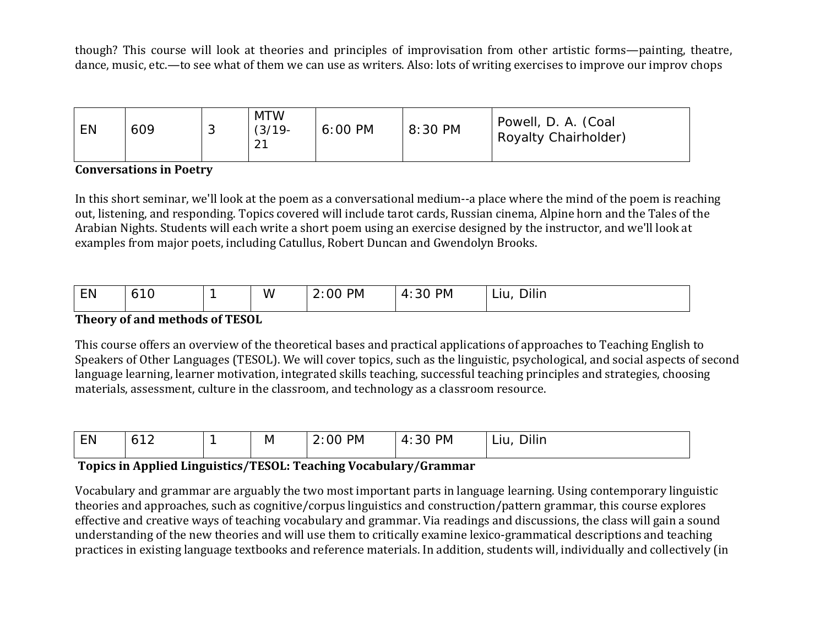though? This course will look at theories and principles of improvisation from other artistic forms—painting, theatre, dance, music, etc.—to see what of them we can use as writers. Also: lots of writing exercises to improve our improv chops

| EN | 609 | $\sim$<br>◡ | <b>MTW</b><br>$(3/19 -$<br>ົດ 1<br>$\mathbf{Z}$ . | 6:00 PM | 8:30 PM | Powell, D. A. (Coal<br>Royalty Chairholder) |
|----|-----|-------------|---------------------------------------------------|---------|---------|---------------------------------------------|
|----|-----|-------------|---------------------------------------------------|---------|---------|---------------------------------------------|

## **Conversations in Poetry**

In this short seminar, we'll look at the poem as a conversational medium--a place where the mind of the poem is reaching out, listening, and responding. Topics covered will include tarot cards, Russian cinema, Alpine horn and the Tales of the Arabian Nights. Students will each write a short poem using an exercise designed by the instructor, and we'll look at examples from major poets, including Catullus, Robert Duncan and Gwendolyn Brooks.

| EN | $\sim$<br>ا ب |  | $\cdots$<br>w | <b>PM</b><br>00 | <b>PM</b><br>30<br>$\boldsymbol{\varDelta}$ | Dilin<br>Liu |  |  |  |  |
|----|---------------|--|---------------|-----------------|---------------------------------------------|--------------|--|--|--|--|
|    |               |  |               |                 |                                             |              |  |  |  |  |

## **Theory of and methods of TESOL**

This course offers an overview of the theoretical bases and practical applications of approaches to Teaching English to Speakers of Other Languages (TESOL). We will cover topics, such as the linguistic, psychological, and social aspects of second language learning, learner motivation, integrated skills teaching, successful teaching principles and strategies, choosing materials, assessment, culture in the classroom, and technology as a classroom resource.

| <b>EN</b> | ◢ | ΙVΙ | <b>PM</b><br>,, | PМ<br>30<br>. . | Dilin<br>–™ |
|-----------|---|-----|-----------------|-----------------|-------------|
|           |   |     |                 |                 |             |

# **Topics in Applied Linguistics/TESOL: Teaching Vocabulary/Grammar**

Vocabulary and grammar are arguably the two most important parts in language learning. Using contemporary linguistic theories and approaches, such as cognitive/corpus linguistics and construction/pattern grammar, this course explores effective and creative ways of teaching vocabulary and grammar. Via readings and discussions, the class will gain a sound understanding of the new theories and will use them to critically examine lexico-grammatical descriptions and teaching practices in existing language textbooks and reference materials. In addition, students will, individually and collectively (in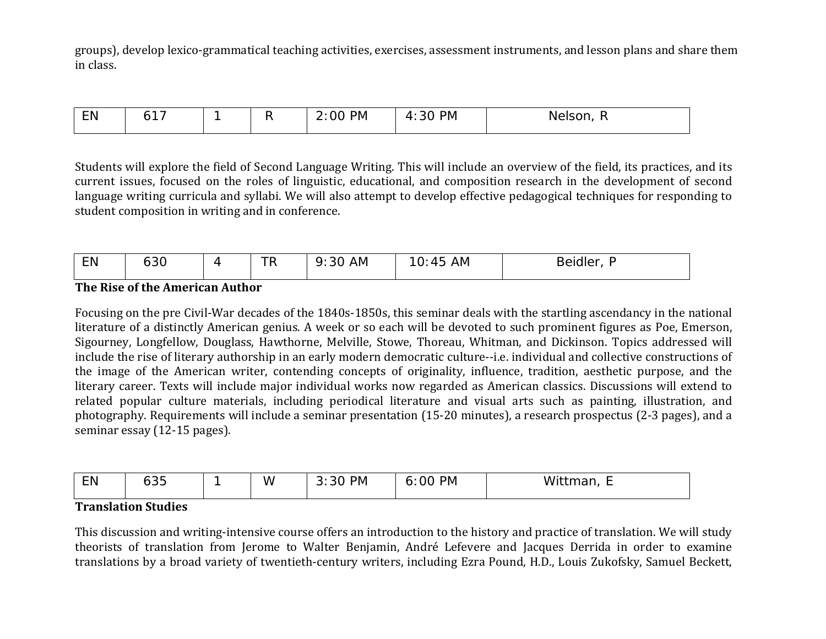groups), develop lexico-grammatical teaching activities, exercises, assessment instruments, and lesson plans and share them in class.

| <b>EN</b> | _<br>the contract of the contract of the |  | <b>PM</b><br>ำเ | <b>PM</b><br>$\mathbf{u}$<br>∸ | $\sim$ $\sim$<br>Nelsc<br>50 H |
|-----------|------------------------------------------|--|-----------------|--------------------------------|--------------------------------|
|           |                                          |  |                 |                                |                                |

Students will explore the field of Second Language Writing. This will include an overview of the field, its practices, and its current issues, focused on the roles of linguistic, educational, and composition research in the development of second language writing curricula and syllabi. We will also attempt to develop effective pedagogical techniques for responding to student composition in writing and in conference.

#### **The Rise of the American Author**

Focusing on the pre Civil-War decades of the 1840s-1850s, this seminar deals with the startling ascendancy in the national literature of a distinctly American genius. A week or so each will be devoted to such prominent figures as Poe, Emerson, Sigourney, Longfellow, Douglass, Hawthorne, Melville, Stowe, Thoreau, Whitman, and Dickinson. Topics addressed will include the rise of literary authorship in an early modern democratic culture--i.e. individual and collective constructions of the image of the American writer, contending concepts of originality, influence, tradition, aesthetic purpose, and the literary career. Texts will include major individual works now regarded as American classics. Discussions will extend to related popular culture materials, including periodical literature and visual arts such as painting, illustration, and photography. Requirements will include a seminar presentation (15-20 minutes), a research prospectus (2-3 pages), and a seminar essay (12-15 pages).

| - - -<br>- Ni | $\sim$ $-$<br>マト<br>ooo |  | $\ddot{\phantom{1}}$<br>w | <b>PM</b><br>ີ | <b>PM</b><br>00<br>. .<br>ັ | Wittr<br>idi<br>- |
|---------------|-------------------------|--|---------------------------|----------------|-----------------------------|-------------------|
|---------------|-------------------------|--|---------------------------|----------------|-----------------------------|-------------------|

#### **Translation Studies**

This discussion and writing-intensive course offers an introduction to the history and practice of translation. We will study theorists of translation from Jerome to Walter Benjamin, André Lefevere and Jacques Derrida in order to examine translations by a broad variety of twentieth-century writers, including Ezra Pound, H.D., Louis Zukofsky, Samuel Beckett,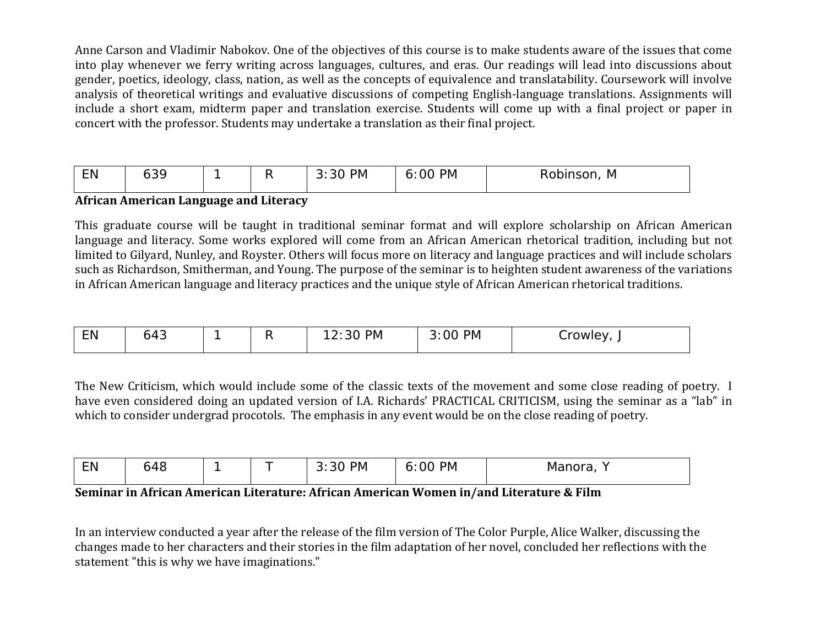Anne Carson and Vladimir Nabokov. One of the objectives of this course is to make students aware of the issues that come into play whenever we ferry writing across languages, cultures, and eras. Our readings will lead into discussions about gender, poetics, ideology, class, nation, as well as the concepts of equivalence and translatability. Coursework will involve analysis of theoretical writings and evaluative discussions of competing English-language translations. Assignments will include a short exam, midterm paper and translation exercise. Students will come up with a final project or paper in concert with the professor. Students may undertake a translation as their final project.

| <b>EN</b> | $\sim$<br>. טט |  |  | <b>PM</b><br>ີ | <b>PM</b><br>J. | $\sim$ $\sim$ $\sim$<br><b>M</b><br>150H.<br>KUUIL |
|-----------|----------------|--|--|----------------|-----------------|----------------------------------------------------|
|-----------|----------------|--|--|----------------|-----------------|----------------------------------------------------|

#### **African American Language and Literacy**

This graduate course will be taught in traditional seminar format and will explore scholarship on African American language and literacy. Some works explored will come from an African American rhetorical tradition, including but not limited to Gilyard, Nunley, and Royster. Others will focus more on literacy and language practices and will include scholars such as Richardson, Smitherman, and Young. The purpose of the seminar is to heighten student awareness of the variations in African American language and literacy practices and the unique style of African American rhetorical traditions.

| --<br>. | $\overline{\phantom{0}}$<br>᠇◡ |  |  | PIVI | PM<br>ገ(<br>____ | .<br>w |
|---------|--------------------------------|--|--|------|------------------|--------|
|---------|--------------------------------|--|--|------|------------------|--------|

The New Criticism, which would include some of the classic texts of the movement and some close reading of poetry. I have even considered doing an updated version of I.A. Richards' PRACTICAL CRITICISM, using the seminar as a "lab" in which to consider undergrad procotols. The emphasis in any event would be on the close reading of poetry.

| --<br>. | $\sim$<br>ℸ◡ |  |  | PM | <b>PM</b><br>00<br>ີ | - -- -<br>l IUI d<br>-widi. |
|---------|--------------|--|--|----|----------------------|-----------------------------|
|---------|--------------|--|--|----|----------------------|-----------------------------|

## **Seminar in African American Literature: African American Women in/and Literature & Film**

In an interview conducted a year after the release of the film version of The Color Purple, Alice Walker, discussing the changes made to her characters and their stories in the film adaptation of her novel, concluded her reflections with the statement "this is why we have imaginations."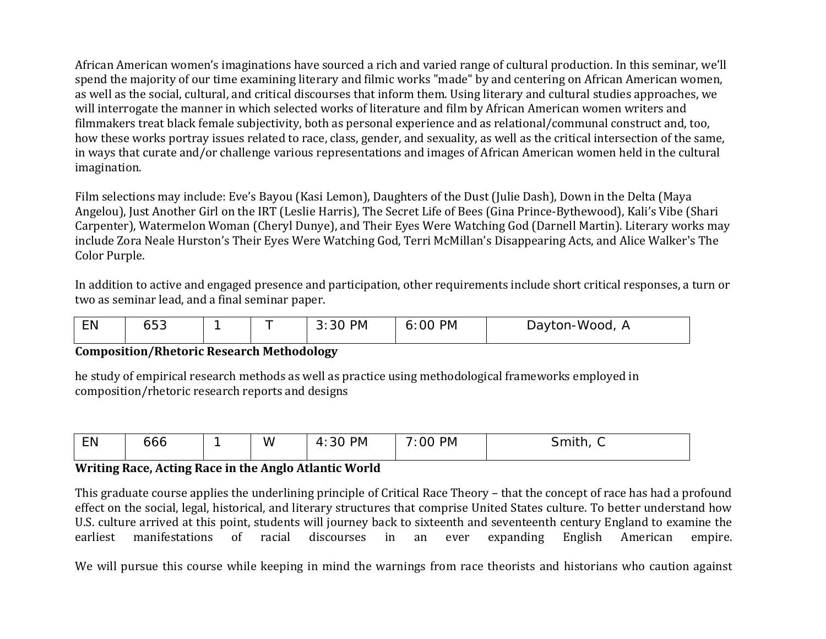African American women's imaginations have sourced a rich and varied range of cultural production. In this seminar, we'll spend the majority of our time examining literary and filmic works "made" by and centering on African American women, as well as the social, cultural, and critical discourses that inform them. Using literary and cultural studies approaches, we will interrogate the manner in which selected works of literature and film by African American women writers and filmmakers treat black female subjectivity, both as personal experience and as relational/communal construct and, too, how these works portray issues related to race, class, gender, and sexuality, as well as the critical intersection of the same, in ways that curate and/or challenge various representations and images of African American women held in the cultural imagination.

Film selections may include: Eve's Bayou (Kasi Lemon), Daughters of the Dust (Julie Dash), Down in the Delta (Maya Angelou), Just Another Girl on the IRT (Leslie Harris), The Secret Life of Bees (Gina Prince-Bythewood), Kali's Vibe (Shari Carpenter), Watermelon Woman (Cheryl Dunye), and Their Eyes Were Watching God (Darnell Martin). Literary works may include Zora Neale Hurston's Their Eyes Were Watching God, Terri McMillan's Disappearing Acts, and Alice Walker's The Color Purple.

In addition to active and engaged presence and participation, other requirements include short critical responses, a turn or two as seminar lead, and a final seminar paper.

| EN | $\sim$<br>へへ<br>ບບບ |  |  | PM<br>-41 | <b>PM</b><br>6:00 | Dayton-Wood, A |
|----|---------------------|--|--|-----------|-------------------|----------------|
|----|---------------------|--|--|-----------|-------------------|----------------|

#### **Composition/Rhetoric Research Methodology**

he study of empirical research methods as well as practice using methodological frameworks employed in composition/rhetoric research reports and designs

| <b>EN</b> | 666 | W | <b>PM</b><br>$\cap$<br>$\mathbf{u}$<br>21<br>$\sim$ | <b>PM</b><br>-<br>00<br>$\sim$ $\sim$ | .<br>smith<br>ັ<br>$\sim$ |
|-----------|-----|---|-----------------------------------------------------|---------------------------------------|---------------------------|
|           |     |   |                                                     |                                       |                           |

#### **Writing Race, Acting Race in the Anglo Atlantic World**

This graduate course applies the underlining principle of Critical Race Theory – that the concept of race has had a profound effect on the social, legal, historical, and literary structures that comprise United States culture. To better understand how U.S. culture arrived at this point, students will journey back to sixteenth and seventeenth century England to examine the earliest manifestations of racial discourses in an ever expanding English American empire. earliest manifestations of racial discourses in

We will pursue this course while keeping in mind the warnings from race theorists and historians who caution against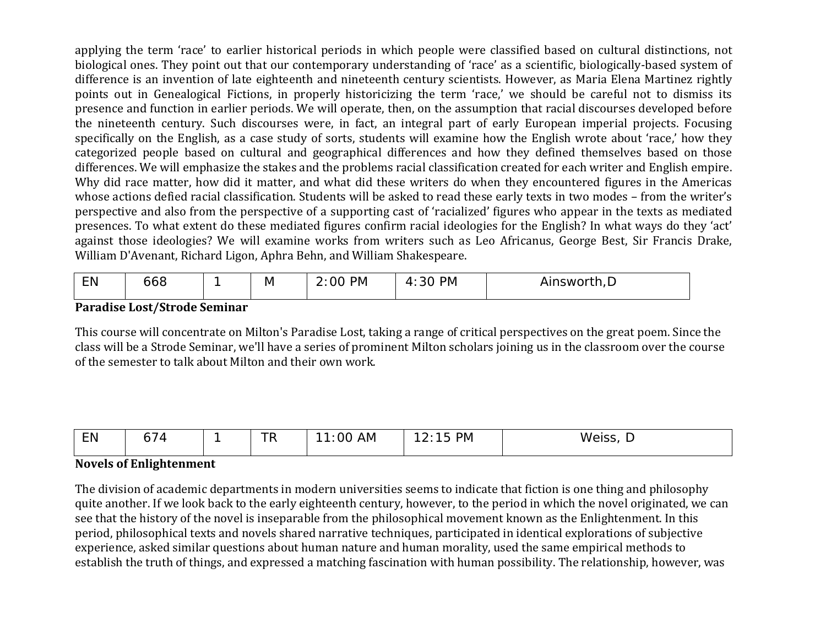applying the term 'race' to earlier historical periods in which people were classified based on cultural distinctions, not biological ones. They point out that our contemporary understanding of 'race' as a scientific, biologically-based system of difference is an invention of late eighteenth and nineteenth century scientists. However, as Maria Elena Martinez rightly points out in Genealogical Fictions, in properly historicizing the term 'race,' we should be careful not to dismiss its presence and function in earlier periods. We will operate, then, on the assumption that racial discourses developed before the nineteenth century. Such discourses were, in fact, an integral part of early European imperial projects. Focusing specifically on the English, as a case study of sorts, students will examine how the English wrote about 'race,' how they categorized people based on cultural and geographical differences and how they defined themselves based on those differences. We will emphasize the stakes and the problems racial classification created for each writer and English empire. Why did race matter, how did it matter, and what did these writers do when they encountered figures in the Americas whose actions defied racial classification. Students will be asked to read these early texts in two modes – from the writer's perspective and also from the perspective of a supporting cast of 'racialized' figures who appear in the texts as mediated presences. To what extent do these mediated figures confirm racial ideologies for the English? In what ways do they 'act' against those ideologies? We will examine works from writers such as Leo Africanus, George Best, Sir Francis Drake, William D'Avenant, Richard Ligon, Aphra Behn, and William Shakespeare.

| FN.<br><u>.</u> | ooo |  | M | <b>PM</b><br>00<br><u>.</u> . | <b>PM</b><br>$\Delta$<br>- JU | -<br>insworth<br>All.<br>11 I <i>I L</i> |
|-----------------|-----|--|---|-------------------------------|-------------------------------|------------------------------------------|
|-----------------|-----|--|---|-------------------------------|-------------------------------|------------------------------------------|

#### **Paradise Lost/Strode Seminar**

This course will concentrate on Milton's Paradise Lost, taking a range of critical perspectives on the great poem. Since the class will be a Strode Seminar, we'll have a series of prominent Milton scholars joining us in the classroom over the course of the semester to talk about Milton and their own work.

| <b>LIV</b> | - |  | $\overline{\phantom{a}}$<br> | .<br><sup>00</sup><br>-<br>AM | <b>PM</b><br><u>_</u> | w<br>1000 |
|------------|---|--|------------------------------|-------------------------------|-----------------------|-----------|
|------------|---|--|------------------------------|-------------------------------|-----------------------|-----------|

## **Novels of Enlightenment**

The division of academic departments in modern universities seems to indicate that fiction is one thing and philosophy quite another. If we look back to the early eighteenth century, however, to the period in which the novel originated, we can see that the history of the novel is inseparable from the philosophical movement known as the Enlightenment. In this period, philosophical texts and novels shared narrative techniques, participated in identical explorations of subjective experience, asked similar questions about human nature and human morality, used the same empirical methods to establish the truth of things, and expressed a matching fascination with human possibility. The relationship, however, was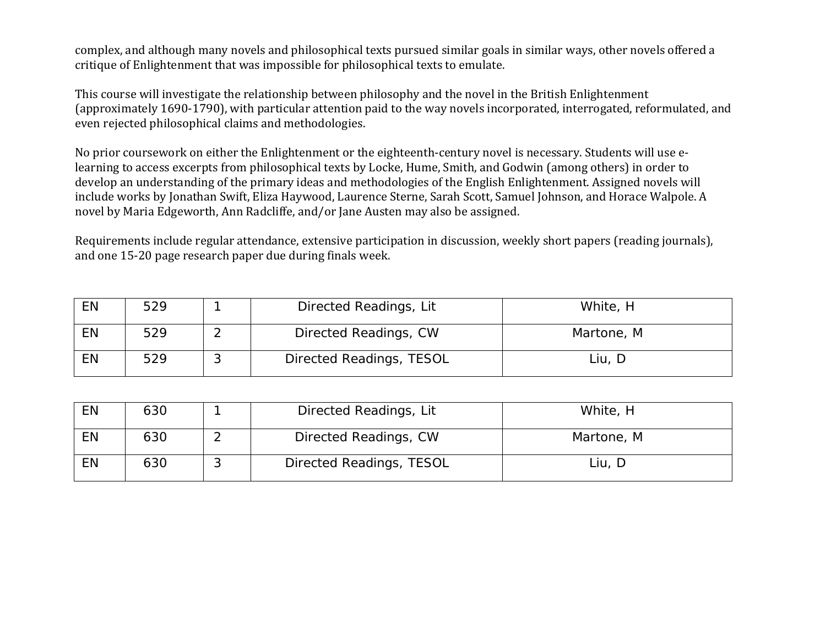complex, and although many novels and philosophical texts pursued similar goals in similar ways, other novels offered a critique of Enlightenment that was impossible for philosophical texts to emulate.

This course will investigate the relationship between philosophy and the novel in the British Enlightenment (approximately 1690-1790), with particular attention paid to the way novels incorporated, interrogated, reformulated, and even rejected philosophical claims and methodologies.

No prior coursework on either the Enlightenment or the eighteenth-century novel is necessary. Students will use elearning to access excerpts from philosophical texts by Locke, Hume, Smith, and Godwin (among others) in order to develop an understanding of the primary ideas and methodologies of the English Enlightenment. Assigned novels will include works by Jonathan Swift, Eliza Haywood, Laurence Sterne, Sarah Scott, Samuel Johnson, and Horace Walpole. A novel by Maria Edgeworth, Ann Radcliffe, and/or Jane Austen may also be assigned.

Requirements include regular attendance, extensive participation in discussion, weekly short papers (reading journals), and one 15-20 page research paper due during finals week.

| EN | 529 | Directed Readings, Lit   | White, H   |
|----|-----|--------------------------|------------|
|    | 529 | Directed Readings, CW    | Martone, M |
| EN | 529 | Directed Readings, TESOL | Liu, D     |

| EN | 630 |   | Directed Readings, Lit   | White, H   |
|----|-----|---|--------------------------|------------|
| EN | 630 |   | Directed Readings, CW    | Martone, M |
| EN | 630 | ີ | Directed Readings, TESOL | Liu, D     |